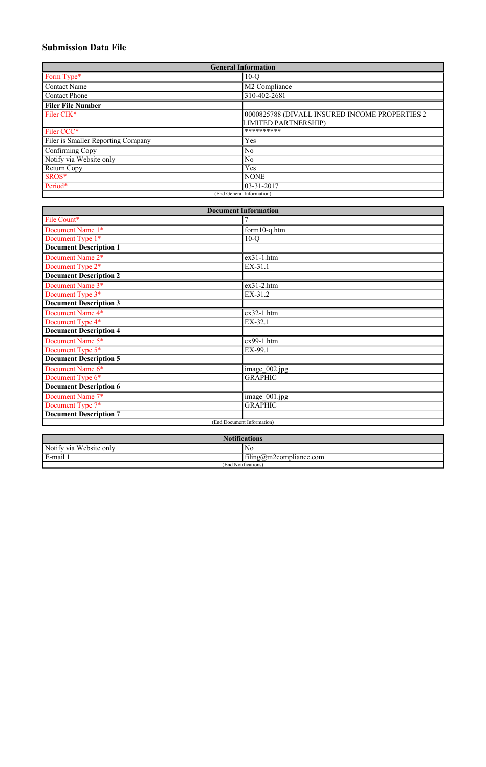# **Submission Data File**

| <b>General Information</b>         |                                                |  |  |  |  |
|------------------------------------|------------------------------------------------|--|--|--|--|
| Form Type*                         | $10-Q$                                         |  |  |  |  |
| <b>Contact Name</b>                | M2 Compliance                                  |  |  |  |  |
| <b>Contact Phone</b>               | 310-402-2681                                   |  |  |  |  |
| <b>Filer File Number</b>           |                                                |  |  |  |  |
| Filer CIK*                         | 0000825788 (DIVALL INSURED INCOME PROPERTIES 2 |  |  |  |  |
|                                    | <b>LIMITED PARTNERSHIP)</b>                    |  |  |  |  |
| Filer CCC*                         | **********                                     |  |  |  |  |
| Filer is Smaller Reporting Company | Yes                                            |  |  |  |  |
| Confirming Copy                    | N <sub>o</sub>                                 |  |  |  |  |
| Notify via Website only            | N <sub>o</sub>                                 |  |  |  |  |
| Return Copy                        | Yes                                            |  |  |  |  |
| SROS*                              | <b>NONE</b>                                    |  |  |  |  |
| Period*                            | 03-31-2017                                     |  |  |  |  |
| (End General Information)          |                                                |  |  |  |  |

| <b>Document Information</b>   |                            |  |  |
|-------------------------------|----------------------------|--|--|
| File Count*                   |                            |  |  |
| Document Name 1*              | $form 10-q.htm$            |  |  |
| Document Type 1*              | $10-Q$                     |  |  |
| <b>Document Description 1</b> |                            |  |  |
| Document Name 2*              | $ex31-1.htm$               |  |  |
| Document Type 2*              | EX-31.1                    |  |  |
| <b>Document Description 2</b> |                            |  |  |
| Document Name 3*              | $ex31-2.htm$               |  |  |
| Document Type 3*              | EX-31.2                    |  |  |
| <b>Document Description 3</b> |                            |  |  |
| Document Name 4*              | $ex32-1.htm$               |  |  |
| Document Type 4*              | EX-32.1                    |  |  |
| <b>Document Description 4</b> |                            |  |  |
| Document Name 5*              | $ex99-1.htm$               |  |  |
| Document Type 5*              | EX-99.1                    |  |  |
| <b>Document Description 5</b> |                            |  |  |
| Document Name 6*              | image_002.jpg              |  |  |
| Document Type 6*              | <b>GRAPHIC</b>             |  |  |
| <b>Document Description 6</b> |                            |  |  |
| Document Name 7*              | image_001.jpg              |  |  |
| Document Type 7*              | <b>GRAPHIC</b>             |  |  |
| <b>Document Description 7</b> |                            |  |  |
|                               | (End Document Information) |  |  |
|                               |                            |  |  |

| <b>Notifications</b>                |    |  |
|-------------------------------------|----|--|
| Notify via Website only             | No |  |
| E-mail 1<br>filing@m2compliance.com |    |  |
| (End Notifications)                 |    |  |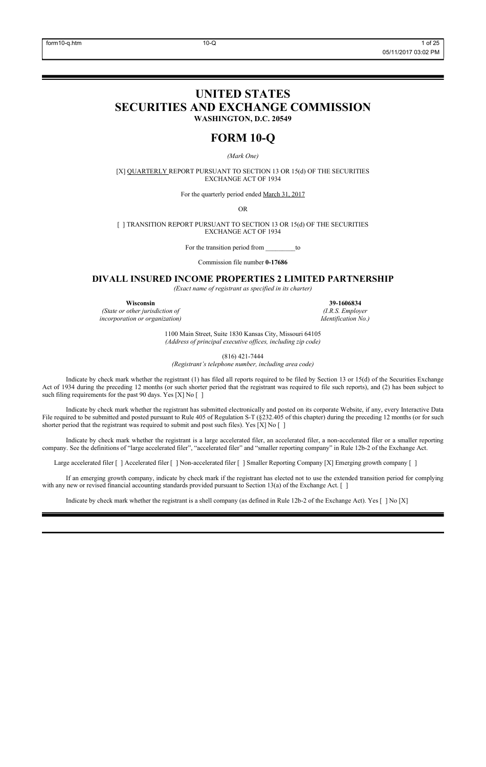# **UNITED STATES SECURITIES AND EXCHANGE COMMISSION WASHINGTON, D.C. 20549**

# **FORM 10-Q**

*(Mark One)*

[X] QUARTERLY REPORT PURSUANT TO SECTION 13 OR 15(d) OF THE SECURITIES EXCHANGE ACT OF 1934

For the quarterly period ended March 31, 2017

OR

[ ] TRANSITION REPORT PURSUANT TO SECTION 13 OR 15(d) OF THE SECURITIES EXCHANGE ACT OF 1934

For the transition period from to

Commission file number **0-17686**

# **DIVALL INSURED INCOME PROPERTIES 2 LIMITED PARTNERSHIP**

*(Exact name of registrant as specified in its charter)*

*(State or other jurisdiction of (I.R.S. Employer incorporation or organization) Identification No.)*

**Wisconsin 39-1606834**

1100 Main Street, Suite 1830 Kansas City, Missouri 64105 *(Address of principal executive offices, including zip code)*

(816) 421-7444

*(Registrant's telephone number, including area code)*

Indicate by check mark whether the registrant (1) has filed all reports required to be filed by Section 13 or 15(d) of the Securities Exchange Act of 1934 during the preceding 12 months (or such shorter period that the registrant was required to file such reports), and (2) has been subject to such filing requirements for the past 90 days. Yes [X] No []

Indicate by check mark whether the registrant has submitted electronically and posted on its corporate Website, if any, every Interactive Data File required to be submitted and posted pursuant to Rule 405 of Regulation S-T (§232.405 of this chapter) during the preceding 12 months (or for such shorter period that the registrant was required to submit and post such files). Yes [X] No [ ]

Indicate by check mark whether the registrant is a large accelerated filer, an accelerated filer, a non-accelerated filer or a smaller reporting company. See the definitions of "large accelerated filer", "accelerated filer" and "smaller reporting company" in Rule 12b-2 of the Exchange Act.

Large accelerated filer [ ] Accelerated filer [ ] Non-accelerated filer [ ] Smaller Reporting Company [X] Emerging growth company [ ]

If an emerging growth company, indicate by check mark if the registrant has elected not to use the extended transition period for complying with any new or revised financial accounting standards provided pursuant to Section 13(a) of the Exchange Act. []

Indicate by check mark whether the registrant is a shell company (as defined in Rule 12b-2 of the Exchange Act). Yes [ ] No [X]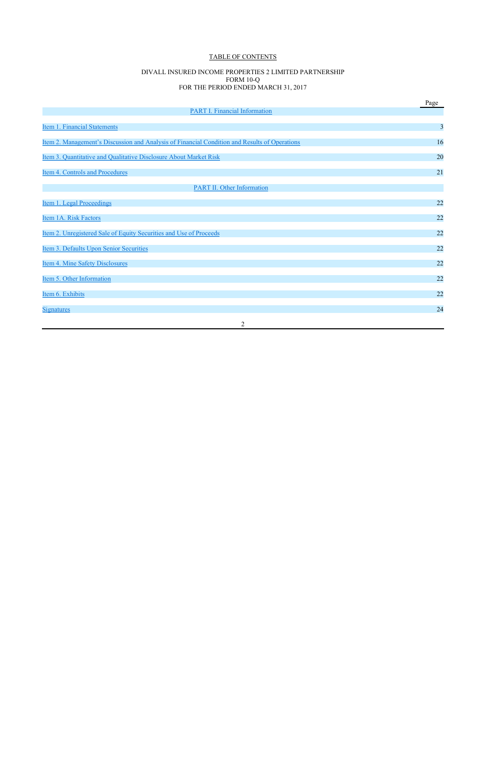# TABLE OF CONTENTS

#### DIVALL INSURED INCOME PROPERTIES 2 LIMITED PARTNERSHIP FORM 10-Q FOR THE PERIOD ENDED MARCH 31, 2017

|                                                                                               | Page |
|-----------------------------------------------------------------------------------------------|------|
| <b>PART I. Financial Information</b>                                                          |      |
| <b>Item 1. Financial Statements</b>                                                           | 3    |
| Item 2. Management's Discussion and Analysis of Financial Condition and Results of Operations | 16   |
| Item 3. Quantitative and Qualitative Disclosure About Market Risk                             | 20   |
| Item 4. Controls and Procedures                                                               | 21   |
| <b>PART II. Other Information</b>                                                             |      |
| Item 1. Legal Proceedings                                                                     | 22   |
| Item 1A. Risk Factors                                                                         | 22   |
| Item 2. Unregistered Sale of Equity Securities and Use of Proceeds                            | 22   |
| Item 3. Defaults Upon Senior Securities                                                       | 22   |
| Item 4. Mine Safety Disclosures                                                               | 22   |
| Item 5. Other Information                                                                     | 22   |
| Item 6. Exhibits                                                                              | 22   |
| <b>Signatures</b>                                                                             | 24   |
| 2                                                                                             |      |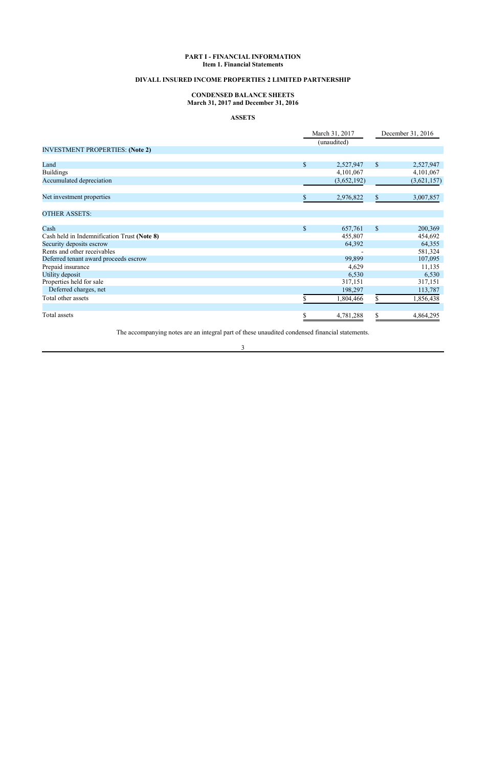#### **PART I - FINANCIAL INFORMATION Item 1. Financial Statements**

# **DIVALL INSURED INCOME PROPERTIES 2 LIMITED PARTNERSHIP**

#### **CONDENSED BALANCE SHEETS March 31, 2017 and December 31, 2016**

#### **ASSETS**

|                                             |             | March 31, 2017 |              | December 31, 2016 |  |
|---------------------------------------------|-------------|----------------|--------------|-------------------|--|
|                                             |             | (unaudited)    |              |                   |  |
| <b>INVESTMENT PROPERTIES: (Note 2)</b>      |             |                |              |                   |  |
|                                             |             |                |              |                   |  |
| Land                                        | \$          | 2,527,947      | \$           | 2,527,947         |  |
| <b>Buildings</b>                            |             | 4,101,067      |              | 4,101,067         |  |
| Accumulated depreciation                    |             | (3,652,192)    |              | (3,621,157)       |  |
|                                             |             |                |              |                   |  |
| Net investment properties                   | S.          | 2,976,822      | \$           | 3,007,857         |  |
|                                             |             |                |              |                   |  |
| <b>OTHER ASSETS:</b>                        |             |                |              |                   |  |
|                                             |             |                |              |                   |  |
| Cash                                        | $\mathbf S$ | 657,761        | $\mathbb{S}$ | 200,369           |  |
| Cash held in Indemnification Trust (Note 8) |             | 455,807        |              | 454,692           |  |
| Security deposits escrow                    |             | 64,392         |              | 64,355            |  |
| Rents and other receivables                 |             |                |              | 581,324           |  |
| Deferred tenant award proceeds escrow       |             | 99,899         |              | 107,095           |  |
| Prepaid insurance                           |             | 4,629          |              | 11,135            |  |
| Utility deposit                             |             | 6,530          |              | 6,530             |  |
| Properties held for sale                    |             | 317,151        |              | 317,151           |  |
| Deferred charges, net                       |             | 198,297        |              | 113,787           |  |
| Total other assets                          |             | 1,804,466      | \$           | 1,856,438         |  |
|                                             |             |                |              |                   |  |
| Total assets                                | \$          | 4,781,288      | \$           | 4,864,295         |  |
|                                             |             |                |              |                   |  |

The accompanying notes are an integral part of these unaudited condensed financial statements.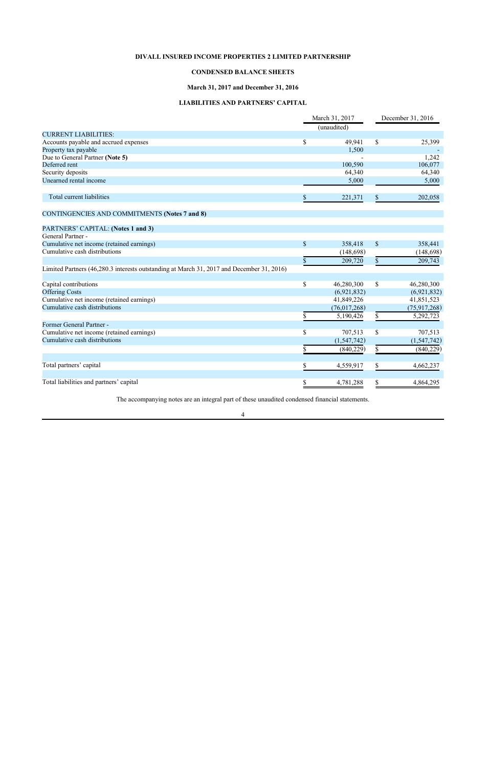## **CONDENSED BALANCE SHEETS**

#### **March 31, 2017 and December 31, 2016**

#### **LIABILITIES AND PARTNERS' CAPITAL**

|                                                                                           |             | March 31, 2017 |              | December 31, 2016 |  |
|-------------------------------------------------------------------------------------------|-------------|----------------|--------------|-------------------|--|
|                                                                                           |             | (unaudited)    |              |                   |  |
| <b>CURRENT LIABILITIES:</b>                                                               |             |                |              |                   |  |
| Accounts payable and accrued expenses                                                     | \$          | 49,941         | \$           | 25,399            |  |
| Property tax payable                                                                      |             | 1,500          |              |                   |  |
| Due to General Partner (Note 5)                                                           |             |                |              | 1,242             |  |
| Deferred rent                                                                             |             | 100,590        |              | 106,077           |  |
| Security deposits                                                                         |             | 64,340         |              | 64,340            |  |
| Unearned rental income                                                                    |             | 5,000          |              | 5,000             |  |
| Total current liabilities                                                                 | \$          | 221,371        | \$           | 202,058           |  |
| <b>CONTINGENCIES AND COMMITMENTS (Notes 7 and 8)</b>                                      |             |                |              |                   |  |
| PARTNERS' CAPITAL: (Notes 1 and 3)                                                        |             |                |              |                   |  |
| General Partner -                                                                         |             |                |              |                   |  |
| Cumulative net income (retained earnings)                                                 | $\mathbf S$ | 358,418        | $\mathbb{S}$ | 358,441           |  |
| Cumulative cash distributions                                                             |             | (148,698)      |              | (148, 698)        |  |
|                                                                                           | \$          | 209,720        | \$           | 209,743           |  |
| Limited Partners (46,280.3 interests outstanding at March 31, 2017 and December 31, 2016) |             |                |              |                   |  |
| Capital contributions                                                                     | \$          | 46,280,300     | S            | 46,280,300        |  |
| <b>Offering Costs</b>                                                                     |             | (6,921,832)    |              | (6,921,832)       |  |
| Cumulative net income (retained earnings)                                                 |             | 41,849,226     |              | 41,851,523        |  |
| Cumulative cash distributions                                                             |             | (76,017,268)   |              | (75, 917, 268)    |  |
|                                                                                           | \$          | 5,190,426      | \$           | 5,292,723         |  |
| Former General Partner -                                                                  |             |                |              |                   |  |
| Cumulative net income (retained earnings)                                                 | \$          | 707,513        | \$           | 707,513           |  |
| Cumulative cash distributions                                                             |             | (1, 547, 742)  |              | (1, 547, 742)     |  |
|                                                                                           |             | (840, 229)     | \$           | (840, 229)        |  |
| Total partners' capital                                                                   | \$          | 4,559,917      | \$           | 4,662,237         |  |
|                                                                                           |             |                |              |                   |  |
| Total liabilities and partners' capital                                                   | \$          | 4,781,288      | \$           | 4,864,295         |  |

The accompanying notes are an integral part of these unaudited condensed financial statements.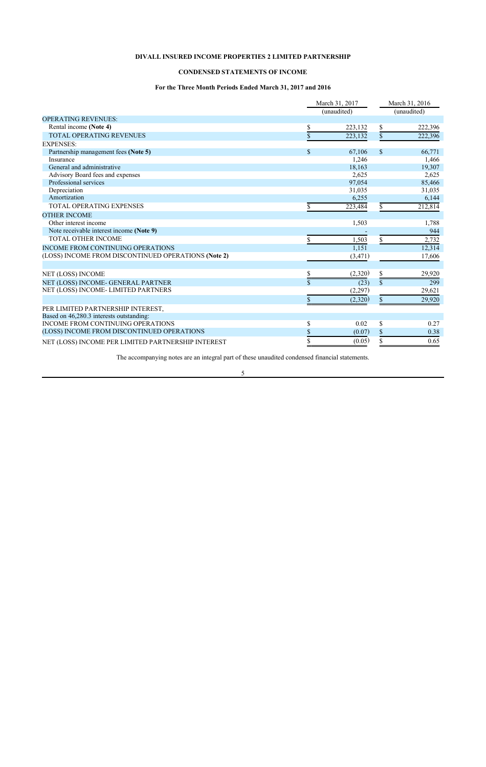# **CONDENSED STATEMENTS OF INCOME**

#### **For the Three Month Periods Ended March 31, 2017 and 2016**

|                                                     |                    | March 31, 2017 |                         | March 31, 2016   |  |
|-----------------------------------------------------|--------------------|----------------|-------------------------|------------------|--|
|                                                     |                    | (unaudited)    |                         | (unaudited)      |  |
| <b>OPERATING REVENUES:</b>                          |                    |                |                         |                  |  |
| Rental income (Note 4)                              | \$                 | 223,132        | \$                      | 222,396          |  |
| TOTAL OPERATING REVENUES                            | \$                 | 223,132        | \$                      | 222,396          |  |
| <b>EXPENSES:</b>                                    |                    |                |                         |                  |  |
| Partnership management fees (Note 5)                | \$                 | 67,106         | \$                      | 66,771           |  |
| Insurance                                           |                    | 1,246          |                         | 1,466            |  |
| General and administrative                          |                    | 18,163         |                         | 19,307           |  |
| Advisory Board fees and expenses                    |                    | 2,625          |                         | 2,625            |  |
| Professional services                               |                    | 97,054         |                         | 85,466           |  |
| Depreciation                                        |                    | 31,035         |                         | 31,035           |  |
| Amortization                                        |                    | 6,255          |                         | 6,144            |  |
| <b>TOTAL OPERATING EXPENSES</b>                     | S                  | 223,484        | \$                      | 212,814          |  |
| <b>OTHER INCOME</b>                                 |                    |                |                         |                  |  |
| Other interest income                               |                    | 1,503          |                         | 1,788            |  |
| Note receivable interest income (Note 9)            |                    |                |                         | 944              |  |
| <b>TOTAL OTHER INCOME</b>                           | \$                 | 1,503          | \$                      | 2,732            |  |
| <b>INCOME FROM CONTINUING OPERATIONS</b>            |                    | 1,151          |                         | 12,314           |  |
| (LOSS) INCOME FROM DISCONTINUED OPERATIONS (Note 2) |                    | (3, 471)       |                         | 17,606           |  |
|                                                     |                    |                |                         |                  |  |
| NET (LOSS) INCOME                                   | \$                 | (2,320)        | \$                      | 29,920           |  |
| NET (LOSS) INCOME- GENERAL PARTNER                  | $\mathbf{\hat{S}}$ | (23)           | $\overline{\mathbb{S}}$ | $\overline{299}$ |  |
| NET (LOSS) INCOME-LIMITED PARTNERS                  |                    | (2,297)        |                         | 29,621           |  |
|                                                     |                    | (2,320)        | $\mathbb{S}$            | 29,920           |  |
| PER LIMITED PARTNERSHIP INTEREST,                   |                    |                |                         |                  |  |
| Based on 46,280.3 interests outstanding:            |                    |                |                         |                  |  |
| <b>INCOME FROM CONTINUING OPERATIONS</b>            | \$                 | 0.02           | \$                      | 0.27             |  |
| (LOSS) INCOME FROM DISCONTINUED OPERATIONS          | \$                 | (0.07)         | \$                      | 0.38             |  |
| NET (LOSS) INCOME PER LIMITED PARTNERSHIP INTEREST  | \$                 | (0.05)         | \$                      | 0.65             |  |

The accompanying notes are an integral part of these unaudited condensed financial statements.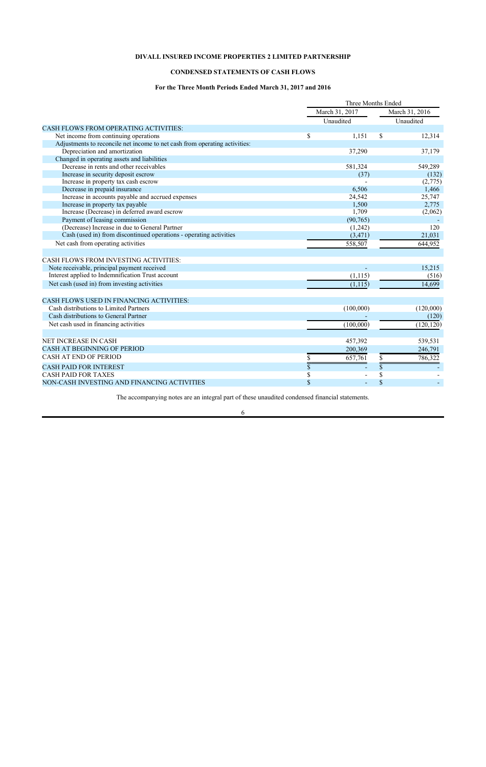# **CONDENSED STATEMENTS OF CASH FLOWS**

## **For the Three Month Periods Ended March 31, 2017 and 2016**

|                                                                            | Three Months Ended |                |                |            |
|----------------------------------------------------------------------------|--------------------|----------------|----------------|------------|
|                                                                            |                    | March 31, 2017 | March 31, 2016 |            |
|                                                                            |                    | Unaudited      |                | Unaudited  |
| <b>CASH FLOWS FROM OPERATING ACTIVITIES:</b>                               |                    |                |                |            |
| Net income from continuing operations                                      | \$                 | 1,151          | \$             | 12,314     |
| Adjustments to reconcile net income to net cash from operating activities: |                    |                |                |            |
| Depreciation and amortization                                              |                    | 37,290         |                | 37,179     |
| Changed in operating assets and liabilities                                |                    |                |                |            |
| Decrease in rents and other receivables                                    |                    | 581,324        |                | 549,289    |
| Increase in security deposit escrow                                        |                    | (37)           |                | (132)      |
| Increase in property tax cash escrow                                       |                    |                |                | (2,775)    |
| Decrease in prepaid insurance                                              |                    | 6,506          |                | 1,466      |
| Increase in accounts payable and accrued expenses                          |                    | 24,542         |                | 25,747     |
| Increase in property tax payable                                           |                    | 1,500          |                | 2,775      |
| Increase (Decrease) in deferred award escrow                               |                    | 1,709          |                | (2,062)    |
| Payment of leasing commission                                              |                    | (90, 765)      |                |            |
| (Decrease) Increase in due to General Partner                              |                    | (1,242)        |                | 120        |
| Cash (used in) from discontinued operations - operating activities         |                    | (3, 471)       |                | 21,031     |
| Net cash from operating activities                                         |                    | 558,507        |                | 644,952    |
| <b>CASH FLOWS FROM INVESTING ACTIVITIES:</b>                               |                    |                |                |            |
| Note receivable, principal payment received                                |                    | $\blacksquare$ |                | 15,215     |
| Interest applied to Indemnification Trust account                          |                    | (1,115)        |                | (516)      |
| Net cash (used in) from investing activities                               |                    | (1, 115)       |                | 14,699     |
| CASH FLOWS USED IN FINANCING ACTIVITIES:                                   |                    |                |                |            |
| Cash distributions to Limited Partners                                     |                    | (100,000)      |                | (120,000)  |
| Cash distributions to General Partner                                      |                    |                |                | (120)      |
| Net cash used in financing activities                                      |                    | (100,000)      |                | (120, 120) |
|                                                                            |                    |                |                |            |
| NET INCREASE IN CASH                                                       |                    | 457,392        |                | 539,531    |
| <b>CASH AT BEGINNING OF PERIOD</b>                                         |                    | 200,369        |                | 246,791    |
| <b>CASH AT END OF PERIOD</b>                                               | \$                 | 657,761        | \$             | 786,322    |
| <b>CASH PAID FOR INTEREST</b>                                              | \$                 |                | \$             |            |
| <b>CASH PAID FOR TAXES</b>                                                 | \$                 |                | \$             |            |
| NON-CASH INVESTING AND FINANCING ACTIVITIES                                | \$                 | $\overline{a}$ | \$             |            |

The accompanying notes are an integral part of these unaudited condensed financial statements.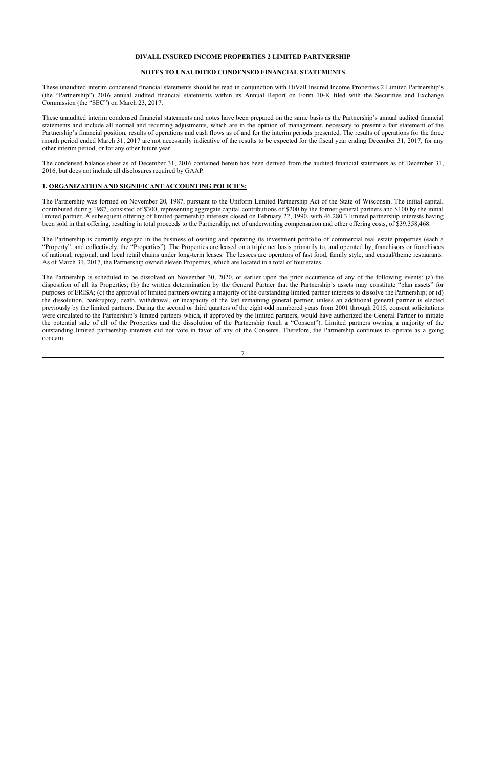#### **NOTES TO UNAUDITED CONDENSED FINANCIAL STATEMENTS**

These unaudited interim condensed financial statements should be read in conjunction with DiVall Insured Income Properties 2 Limited Partnership's (the "Partnership") 2016 annual audited financial statements within its Annual Report on Form 10-K filed with the Securities and Exchange Commission (the "SEC") on March 23, 2017.

These unaudited interim condensed financial statements and notes have been prepared on the same basis as the Partnership's annual audited financial statements and include all normal and recurring adjustments, which are in the opinion of management, necessary to present a fair statement of the Partnership's financial position, results of operations and cash flows as of and for the interim periods presented. The results of operations for the three month period ended March 31, 2017 are not necessarily indicative of the results to be expected for the fiscal year ending December 31, 2017, for any other interim period, or for any other future year.

The condensed balance sheet as of December 31, 2016 contained herein has been derived from the audited financial statements as of December 31, 2016, but does not include all disclosures required by GAAP.

#### **1. ORGANIZATION AND SIGNIFICANT ACCOUNTING POLICIES:**

The Partnership was formed on November 20, 1987, pursuant to the Uniform Limited Partnership Act of the State of Wisconsin. The initial capital, contributed during 1987, consisted of \$300, representing aggregate capital contributions of \$200 by the former general partners and \$100 by the initial limited partner. A subsequent offering of limited partnership interests closed on February 22, 1990, with 46,280.3 limited partnership interests having been sold in that offering, resulting in total proceeds to the Partnership, net of underwriting compensation and other offering costs, of \$39,358,468.

The Partnership is currently engaged in the business of owning and operating its investment portfolio of commercial real estate properties (each a "Property", and collectively, the "Properties"). The Properties are leased on a triple net basis primarily to, and operated by, franchisors or franchisees of national, regional, and local retail chains under long-term leases. The lessees are operators of fast food, family style, and casual/theme restaurants. As of March 31, 2017, the Partnership owned eleven Properties, which are located in a total of four states.

The Partnership is scheduled to be dissolved on November 30, 2020, or earlier upon the prior occurrence of any of the following events: (a) the disposition of all its Properties; (b) the written determination by the General Partner that the Partnership's assets may constitute "plan assets" for purposes of ERISA; (c) the approval of limited partners owning a majority of the outstanding limited partner interests to dissolve the Partnership; or (d) the dissolution, bankruptcy, death, withdrawal, or incapacity of the last remaining general partner, unless an additional general partner is elected previously by the limited partners. During the second or third quarters of the eight odd numbered years from 2001 through 2015, consent solicitations were circulated to the Partnership's limited partners which, if approved by the limited partners, would have authorized the General Partner to initiate the potential sale of all of the Properties and the dissolution of the Partnership (each a "Consent"). Limited partners owning a majority of the outstanding limited partnership interests did not vote in favor of any of the Consents. Therefore, the Partnership continues to operate as a going concern.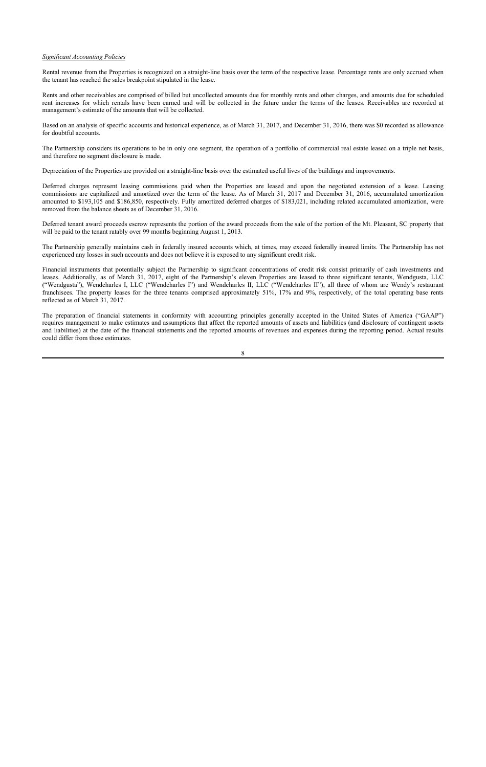#### *Significant Accounting Policies*

Rental revenue from the Properties is recognized on a straight-line basis over the term of the respective lease. Percentage rents are only accrued when the tenant has reached the sales breakpoint stipulated in the lease.

Rents and other receivables are comprised of billed but uncollected amounts due for monthly rents and other charges, and amounts due for scheduled rent increases for which rentals have been earned and will be collected in the future under the terms of the leases. Receivables are recorded at management's estimate of the amounts that will be collected.

Based on an analysis of specific accounts and historical experience, as of March 31, 2017, and December 31, 2016, there was \$0 recorded as allowance for doubtful accounts.

The Partnership considers its operations to be in only one segment, the operation of a portfolio of commercial real estate leased on a triple net basis, and therefore no segment disclosure is made.

Depreciation of the Properties are provided on a straight-line basis over the estimated useful lives of the buildings and improvements.

Deferred charges represent leasing commissions paid when the Properties are leased and upon the negotiated extension of a lease. Leasing commissions are capitalized and amortized over the term of the lease. As of March 31, 2017 and December 31, 2016, accumulated amortization amounted to \$193,105 and \$186,850, respectively. Fully amortized deferred charges of \$183,021, including related accumulated amortization, were removed from the balance sheets as of December 31, 2016.

Deferred tenant award proceeds escrow represents the portion of the award proceeds from the sale of the portion of the Mt. Pleasant, SC property that will be paid to the tenant ratably over 99 months beginning August 1, 2013.

The Partnership generally maintains cash in federally insured accounts which, at times, may exceed federally insured limits. The Partnership has not experienced any losses in such accounts and does not believe it is exposed to any significant credit risk.

Financial instruments that potentially subject the Partnership to significant concentrations of credit risk consist primarily of cash investments and leases. Additionally, as of March 31, 2017, eight of the Partnership's eleven Properties are leased to three significant tenants, Wendgusta, LLC ("Wendgusta"), Wendcharles I, LLC ("Wendcharles I") and Wendcharles II, LLC ("Wendcharles II"), all three of whom are Wendy's restaurant franchisees. The property leases for the three tenants comprised approximately 51%, 17% and 9%, respectively, of the total operating base rents reflected as of March 31, 2017.

The preparation of financial statements in conformity with accounting principles generally accepted in the United States of America ("GAAP") requires management to make estimates and assumptions that affect the reported amounts of assets and liabilities (and disclosure of contingent assets and liabilities) at the date of the financial statements and the reported amounts of revenues and expenses during the reporting period. Actual results could differ from those estimates.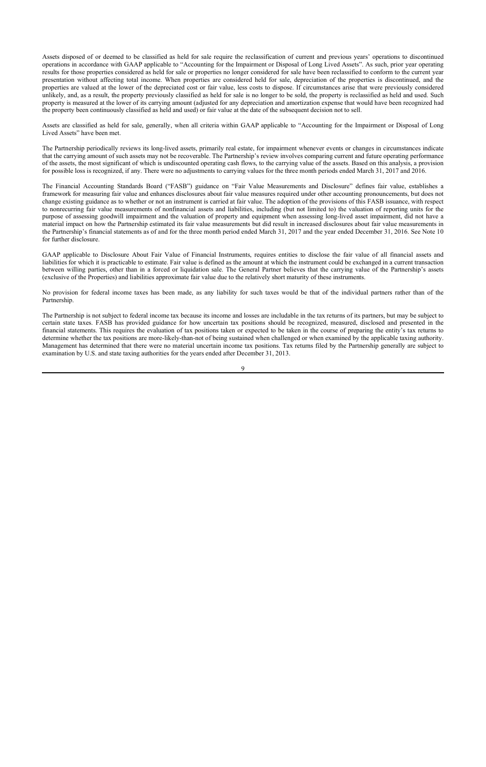Assets disposed of or deemed to be classified as held for sale require the reclassification of current and previous years' operations to discontinued operations in accordance with GAAP applicable to "Accounting for the Impairment or Disposal of Long Lived Assets". As such, prior year operating results for those properties considered as held for sale or properties no longer considered for sale have been reclassified to conform to the current year presentation without affecting total income. When properties are considered held for sale, depreciation of the properties is discontinued, and the properties are valued at the lower of the depreciated cost or fair value, less costs to dispose. If circumstances arise that were previously considered unlikely, and, as a result, the property previously classified as held for sale is no longer to be sold, the property is reclassified as held and used. Such property is measured at the lower of its carrying amount (adjusted for any depreciation and amortization expense that would have been recognized had the property been continuously classified as held and used) or fair value at the date of the subsequent decision not to sell.

Assets are classified as held for sale, generally, when all criteria within GAAP applicable to "Accounting for the Impairment or Disposal of Long Lived Assets" have been met.

The Partnership periodically reviews its long-lived assets, primarily real estate, for impairment whenever events or changes in circumstances indicate that the carrying amount of such assets may not be recoverable. The Partnership's review involves comparing current and future operating performance of the assets, the most significant of which is undiscounted operating cash flows, to the carrying value of the assets. Based on this analysis, a provision for possible loss is recognized, if any. There were no adjustments to carrying values for the three month periods ended March 31, 2017 and 2016.

The Financial Accounting Standards Board ("FASB") guidance on "Fair Value Measurements and Disclosure" defines fair value, establishes a framework for measuring fair value and enhances disclosures about fair value measures required under other accounting pronouncements, but does not change existing guidance as to whether or not an instrument is carried at fair value. The adoption of the provisions of this FASB issuance, with respect to nonrecurring fair value measurements of nonfinancial assets and liabilities, including (but not limited to) the valuation of reporting units for the purpose of assessing goodwill impairment and the valuation of property and equipment when assessing long-lived asset impairment, did not have a material impact on how the Partnership estimated its fair value measurements but did result in increased disclosures about fair value measurements in the Partnership's financial statements as of and for the three month period ended March 31, 2017 and the year ended December 31, 2016. See Note 10 for further disclosure.

GAAP applicable to Disclosure About Fair Value of Financial Instruments, requires entities to disclose the fair value of all financial assets and liabilities for which it is practicable to estimate. Fair value is defined as the amount at which the instrument could be exchanged in a current transaction between willing parties, other than in a forced or liquidation sale. The General Partner believes that the carrying value of the Partnership's assets (exclusive of the Properties) and liabilities approximate fair value due to the relatively short maturity of these instruments.

No provision for federal income taxes has been made, as any liability for such taxes would be that of the individual partners rather than of the Partnership.

The Partnership is not subject to federal income tax because its income and losses are includable in the tax returns of its partners, but may be subject to certain state taxes. FASB has provided guidance for how uncertain tax positions should be recognized, measured, disclosed and presented in the financial statements. This requires the evaluation of tax positions taken or expected to be taken in the course of preparing the entity's tax returns to determine whether the tax positions are more-likely-than-not of being sustained when challenged or when examined by the applicable taxing authority. Management has determined that there were no material uncertain income tax positions. Tax returns filed by the Partnership generally are subject to examination by U.S. and state taxing authorities for the years ended after December 31, 2013.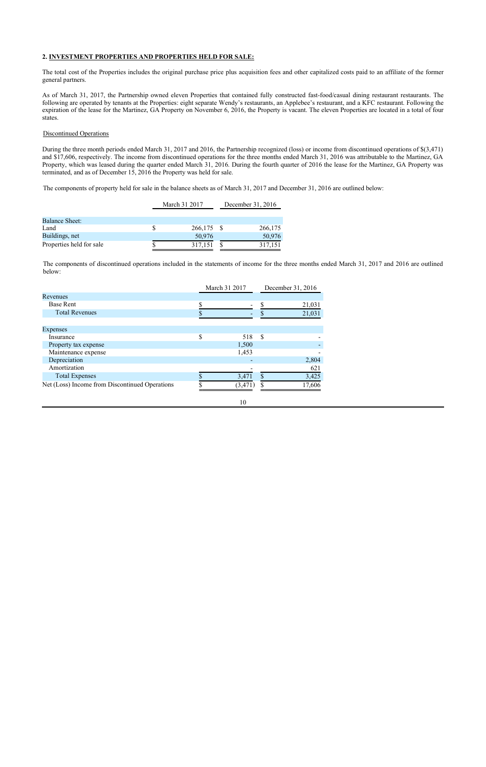#### **2. INVESTMENT PROPERTIES AND PROPERTIES HELD FOR SALE:**

The total cost of the Properties includes the original purchase price plus acquisition fees and other capitalized costs paid to an affiliate of the former general partners.

As of March 31, 2017, the Partnership owned eleven Properties that contained fully constructed fast-food/casual dining restaurant restaurants. The following are operated by tenants at the Properties: eight separate Wendy's restaurants, an Applebee's restaurant, and a KFC restaurant. Following the expiration of the lease for the Martinez, GA Property on November 6, 2016, the Property is vacant. The eleven Properties are located in a total of four states.

#### Discontinued Operations

During the three month periods ended March 31, 2017 and 2016, the Partnership recognized (loss) or income from discontinued operations of \$(3,471) and \$17,606, respectively. The income from discontinued operations for the three months ended March 31, 2016 was attributable to the Martinez, GA Property, which was leased during the quarter ended March 31, 2016. During the fourth quarter of 2016 the lease for the Martinez, GA Property was terminated, and as of December 15, 2016 the Property was held for sale.

The components of property held for sale in the balance sheets as of March 31, 2017 and December 31, 2016 are outlined below:

|                          |   | March 31 2017 |  | December 31, 2016 |
|--------------------------|---|---------------|--|-------------------|
|                          |   |               |  |                   |
| <b>Balance Sheet:</b>    |   |               |  |                   |
| Land                     |   | 266,175       |  | 266,175           |
| Buildings, net           |   | 50,976        |  | 50,976            |
| Properties held for sale | S | 317,151       |  | 317,151           |

The components of discontinued operations included in the statements of income for the three months ended March 31, 2017 and 2016 are outlined below:

|                                                | March 31 2017 |               | December 31, 2016 |  |
|------------------------------------------------|---------------|---------------|-------------------|--|
| Revenues                                       |               |               |                   |  |
| <b>Base Rent</b>                               | \$            |               | 21,031            |  |
| <b>Total Revenues</b>                          |               |               | 21,031            |  |
|                                                |               |               |                   |  |
| <b>Expenses</b>                                |               |               |                   |  |
| Insurance                                      | \$<br>518     | <sup>\$</sup> |                   |  |
| Property tax expense                           | 1,500         |               |                   |  |
| Maintenance expense                            | 1,453         |               |                   |  |
| Depreciation                                   |               |               | 2,804             |  |
| Amortization                                   |               |               | 621               |  |
| <b>Total Expenses</b>                          | 3,471         | \$            | 3,425             |  |
| Net (Loss) Income from Discontinued Operations | (3, 471)      | \$            | 17,606            |  |
|                                                | 10            |               |                   |  |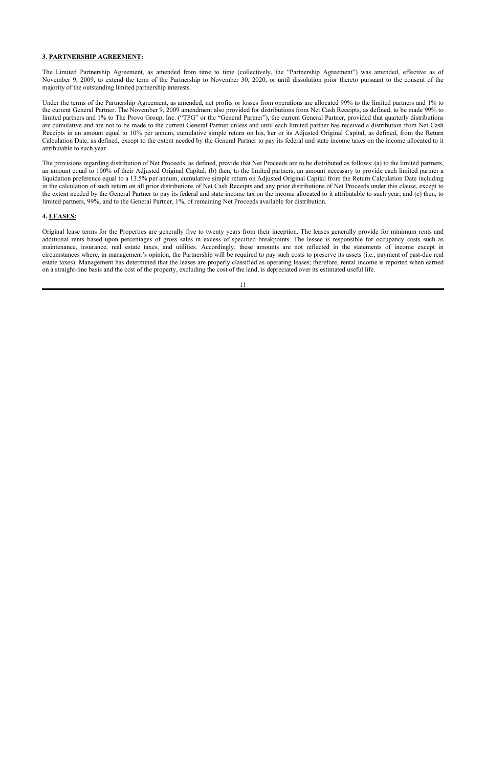#### **3. PARTNERSHIP AGREEMENT:**

The Limited Partnership Agreement, as amended from time to time (collectively, the "Partnership Agreement") was amended, effective as of November 9, 2009, to extend the term of the Partnership to November 30, 2020, or until dissolution prior thereto pursuant to the consent of the majority of the outstanding limited partnership interests.

Under the terms of the Partnership Agreement, as amended, net profits or losses from operations are allocated 99% to the limited partners and 1% to the current General Partner. The November 9, 2009 amendment also provided for distributions from Net Cash Receipts, as defined, to be made 99% to limited partners and 1% to The Provo Group, Inc. ("TPG" or the "General Partner"), the current General Partner, provided that quarterly distributions are cumulative and are not to be made to the current General Partner unless and until each limited partner has received a distribution from Net Cash Receipts in an amount equal to 10% per annum, cumulative simple return on his, her or its Adjusted Original Capital, as defined, from the Return Calculation Date, as defined, except to the extent needed by the General Partner to pay its federal and state income taxes on the income allocated to it attributable to such year.

The provisions regarding distribution of Net Proceeds, as defined, provide that Net Proceeds are to be distributed as follows: (a) to the limited partners, an amount equal to 100% of their Adjusted Original Capital; (b) then, to the limited partners, an amount necessary to provide each limited partner a liquidation preference equal to a 13.5% per annum, cumulative simple return on Adjusted Original Capital from the Return Calculation Date including in the calculation of such return on all prior distributions of Net Cash Receipts and any prior distributions of Net Proceeds under this clause, except to the extent needed by the General Partner to pay its federal and state income tax on the income allocated to it attributable to such year; and (c) then, to limited partners, 99%, and to the General Partner, 1%, of remaining Net Proceeds available for distribution.

#### **4. LEASES:**

Original lease terms for the Properties are generally five to twenty years from their inception. The leases generally provide for minimum rents and additional rents based upon percentages of gross sales in excess of specified breakpoints. The lessee is responsible for occupancy costs such as maintenance, insurance, real estate taxes, and utilities. Accordingly, these amounts are not reflected in the statements of income except in circumstances where, in management's opinion, the Partnership will be required to pay such costs to preserve its assets (i.e., payment of past-due real estate taxes). Management has determined that the leases are properly classified as operating leases; therefore, rental income is reported when earned on a straight-line basis and the cost of the property, excluding the cost of the land, is depreciated over its estimated useful life.

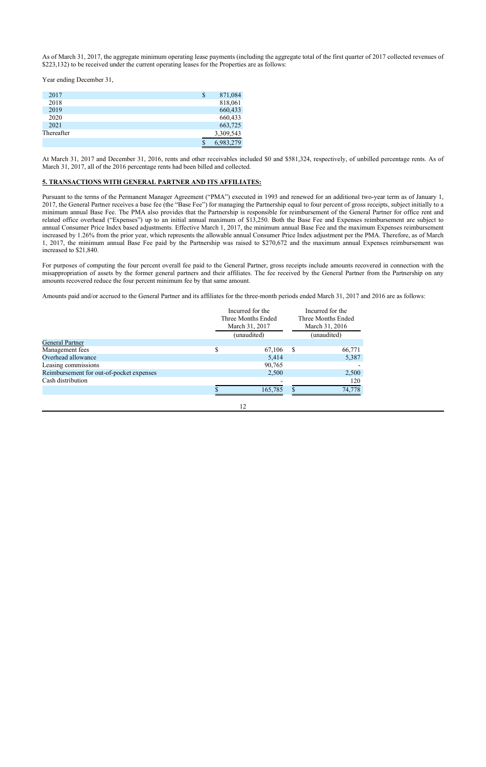As of March 31, 2017, the aggregate minimum operating lease payments (including the aggregate total of the first quarter of 2017 collected revenues of \$223,132) to be received under the current operating leases for the Properties are as follows:

Year ending December 31,

| 2017       | \$ | 871,084   |
|------------|----|-----------|
| 2018       |    | 818,061   |
| 2019       |    | 660,433   |
| 2020       |    | 660,433   |
| 2021       |    | 663,725   |
| Thereafter |    | 3,309,543 |
|            | S  | 6,983,279 |

At March 31, 2017 and December 31, 2016, rents and other receivables included \$0 and \$581,324, respectively, of unbilled percentage rents. As of March 31, 2017, all of the 2016 percentage rents had been billed and collected.

# **5. TRANSACTIONS WITH GENERAL PARTNER AND ITS AFFILIATES:**

Pursuant to the terms of the Permanent Manager Agreement ("PMA") executed in 1993 and renewed for an additional two-year term as of January 1, 2017, the General Partner receives a base fee (the "Base Fee") for managing the Partnership equal to four percent of gross receipts, subject initially to a minimum annual Base Fee. The PMA also provides that the Partnership is responsible for reimbursement of the General Partner for office rent and related office overhead ("Expenses") up to an initial annual maximum of \$13,250. Both the Base Fee and Expenses reimbursement are subject to annual Consumer Price Index based adjustments. Effective March 1, 2017, the minimum annual Base Fee and the maximum Expenses reimbursement increased by 1.26% from the prior year, which represents the allowable annual Consumer Price Index adjustment per the PMA. Therefore, as of March 1, 2017, the minimum annual Base Fee paid by the Partnership was raised to \$270,672 and the maximum annual Expenses reimbursement was increased to \$21,840.

For purposes of computing the four percent overall fee paid to the General Partner, gross receipts include amounts recovered in connection with the misappropriation of assets by the former general partners and their affiliates. The fee received by the General Partner from the Partnership on any amounts recovered reduce the four percent minimum fee by that same amount.

Amounts paid and/or accrued to the General Partner and its affiliates for the three-month periods ended March 31, 2017 and 2016 are as follows:

|                                          |   | Incurred for the<br>Three Months Ended<br>March 31, 2017<br>(unaudited) |    | Incurred for the<br>Three Months Ended<br>March 31, 2016<br>(unaudited) |  |
|------------------------------------------|---|-------------------------------------------------------------------------|----|-------------------------------------------------------------------------|--|
| <b>General Partner</b>                   |   |                                                                         |    |                                                                         |  |
| Management fees                          | S | 67,106                                                                  | -S | 66,771                                                                  |  |
| Overhead allowance                       |   | 5,414                                                                   |    | 5,387                                                                   |  |
| Leasing commissions                      |   | 90,765                                                                  |    |                                                                         |  |
| Reimbursement for out-of-pocket expenses |   | 2,500                                                                   |    | 2,500                                                                   |  |
| Cash distribution                        |   |                                                                         |    | 120                                                                     |  |
|                                          |   | 165,785                                                                 |    | 74,778                                                                  |  |
|                                          |   | 12                                                                      |    |                                                                         |  |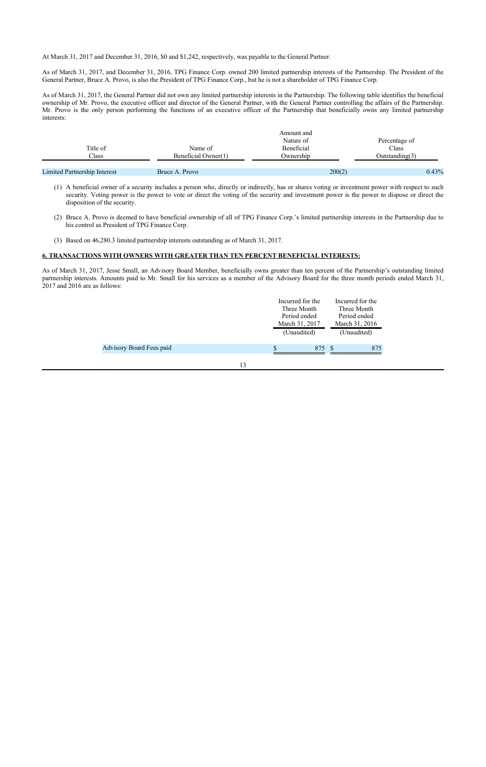At March 31, 2017 and December 31, 2016, \$0 and \$1,242, respectively, was payable to the General Partner.

As of March 31, 2017, and December 31, 2016, TPG Finance Corp. owned 200 limited partnership interests of the Partnership. The President of the General Partner, Bruce A. Provo, is also the President of TPG Finance Corp., but he is not a shareholder of TPG Finance Corp.

As of March 31, 2017, the General Partner did not own any limited partnership interests in the Partnership. The following table identifies the beneficial ownership of Mr. Provo, the executive officer and director of the General Partner, with the General Partner controlling the affairs of the Partnership. Mr. Provo is the only person performing the functions of an executive officer of the Partnership that beneficially owns any limited partnership interests:

|                              |                     | Amount and |                   |
|------------------------------|---------------------|------------|-------------------|
|                              |                     | Nature of  | Percentage of     |
| Title of                     | Name of             | Beneficial | Class             |
| Class                        | Beneficial Owner(1) | Ownership  | Outstanding $(3)$ |
|                              |                     |            |                   |
| Limited Partnership Interest | Bruce A. Provo      | 200(2)     | 0.43%             |

- (1) A beneficial owner of a security includes a person who, directly or indirectly, has or shares voting or investment power with respect to such security. Voting power is the power to vote or direct the voting of the security and investment power is the power to dispose or direct the disposition of the security.
- (2) Bruce A. Provo is deemed to have beneficial ownership of all of TPG Finance Corp.'s limited partnership interests in the Partnership due to his control as President of TPG Finance Corp.
- (3) Based on 46,280.3 limited partnership interests outstanding as of March 31, 2017.

#### **6. TRANSACTIONS WITH OWNERS WITH GREATER THAN TEN PERCENT BENEFICIAL INTERESTS:**

As of March 31, 2017, Jesse Small, an Advisory Board Member, beneficially owns greater than ten percent of the Partnership's outstanding limited partnership interests. Amounts paid to Mr. Small for his services as a member of the Advisory Board for the three month periods ended March 31, 2017 and 2016 are as follows:

|                          | (Unaudited) | (Unaudited) |     |
|--------------------------|-------------|-------------|-----|
| Advisory Board Fees paid | 875 \$      |             | 875 |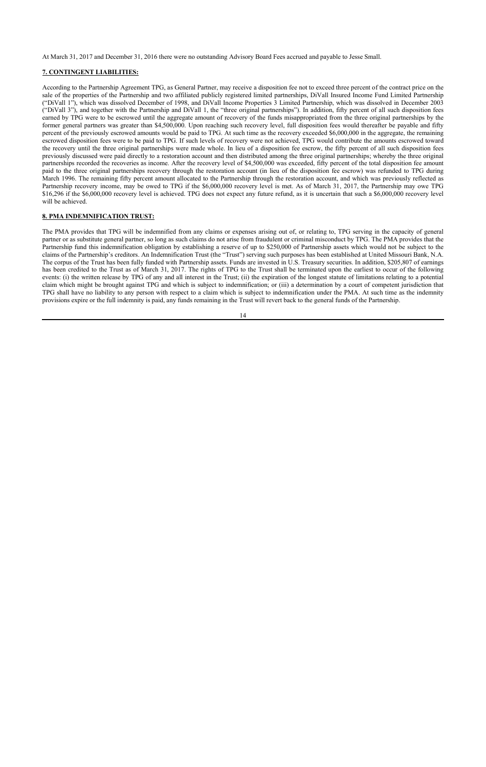At March 31, 2017 and December 31, 2016 there were no outstanding Advisory Board Fees accrued and payable to Jesse Small.

#### **7. CONTINGENT LIABILITIES:**

According to the Partnership Agreement TPG, as General Partner, may receive a disposition fee not to exceed three percent of the contract price on the sale of the properties of the Partnership and two affiliated publicly registered limited partnerships, DiVall Insured Income Fund Limited Partnership ("DiVall 1"), which was dissolved December of 1998, and DiVall Income Properties 3 Limited Partnership, which was dissolved in December 2003 ("DiVall 3"), and together with the Partnership and DiVall 1, the "three original partnerships"). In addition, fifty percent of all such disposition fees earned by TPG were to be escrowed until the aggregate amount of recovery of the funds misappropriated from the three original partnerships by the former general partners was greater than \$4,500,000. Upon reaching such recovery level, full disposition fees would thereafter be payable and fifty percent of the previously escrowed amounts would be paid to TPG. At such time as the recovery exceeded \$6,000,000 in the aggregate, the remaining escrowed disposition fees were to be paid to TPG. If such levels of recovery were not achieved, TPG would contribute the amounts escrowed toward the recovery until the three original partnerships were made whole. In lieu of a disposition fee escrow, the fifty percent of all such disposition fees previously discussed were paid directly to a restoration account and then distributed among the three original partnerships; whereby the three original partnerships recorded the recoveries as income. After the recovery level of \$4,500,000 was exceeded, fifty percent of the total disposition fee amount paid to the three original partnerships recovery through the restoration account (in lieu of the disposition fee escrow) was refunded to TPG during March 1996. The remaining fifty percent amount allocated to the Partnership through the restoration account, and which was previously reflected as Partnership recovery income, may be owed to TPG if the \$6,000,000 recovery level is met. As of March 31, 2017, the Partnership may owe TPG \$16,296 if the \$6,000,000 recovery level is achieved. TPG does not expect any future refund, as it is uncertain that such a \$6,000,000 recovery level will be achieved.

#### **8. PMA INDEMNIFICATION TRUST:**

The PMA provides that TPG will be indemnified from any claims or expenses arising out of, or relating to, TPG serving in the capacity of general partner or as substitute general partner, so long as such claims do not arise from fraudulent or criminal misconduct by TPG. The PMA provides that the Partnership fund this indemnification obligation by establishing a reserve of up to \$250,000 of Partnership assets which would not be subject to the claims of the Partnership's creditors. An Indemnification Trust (the "Trust") serving such purposes has been established at United Missouri Bank, N.A. The corpus of the Trust has been fully funded with Partnership assets. Funds are invested in U.S. Treasury securities. In addition, \$205,807 of earnings has been credited to the Trust as of March 31, 2017. The rights of TPG to the Trust shall be terminated upon the earliest to occur of the following events: (i) the written release by TPG of any and all interest in the Trust; (ii) the expiration of the longest statute of limitations relating to a potential claim which might be brought against TPG and which is subject to indemnification; or (iii) a determination by a court of competent jurisdiction that TPG shall have no liability to any person with respect to a claim which is subject to indemnification under the PMA. At such time as the indemnity provisions expire or the full indemnity is paid, any funds remaining in the Trust will revert back to the general funds of the Partnership.

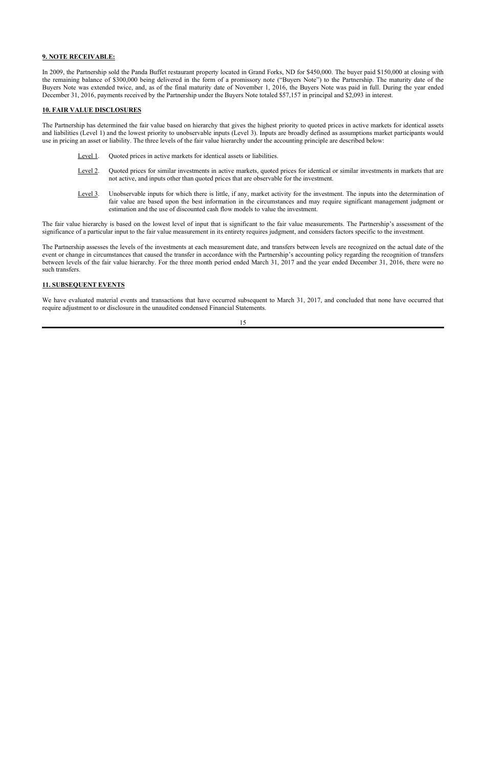#### **9. NOTE RECEIVABLE:**

In 2009, the Partnership sold the Panda Buffet restaurant property located in Grand Forks, ND for \$450,000. The buyer paid \$150,000 at closing with the remaining balance of \$300,000 being delivered in the form of a promissory note ("Buyers Note") to the Partnership. The maturity date of the Buyers Note was extended twice, and, as of the final maturity date of November 1, 2016, the Buyers Note was paid in full. During the year ended December 31, 2016, payments received by the Partnership under the Buyers Note totaled \$57,157 in principal and \$2,093 in interest.

#### **10. FAIR VALUE DISCLOSURES**

The Partnership has determined the fair value based on hierarchy that gives the highest priority to quoted prices in active markets for identical assets and liabilities (Level 1) and the lowest priority to unobservable inputs (Level 3). Inputs are broadly defined as assumptions market participants would use in pricing an asset or liability. The three levels of the fair value hierarchy under the accounting principle are described below:

- Level 1. Quoted prices in active markets for identical assets or liabilities.
- Level 2. Quoted prices for similar investments in active markets, quoted prices for identical or similar investments in markets that are not active, and inputs other than quoted prices that are observable for the investment.
- Level 3. Unobservable inputs for which there is little, if any, market activity for the investment. The inputs into the determination of fair value are based upon the best information in the circumstances and may require significant management judgment or estimation and the use of discounted cash flow models to value the investment.

The fair value hierarchy is based on the lowest level of input that is significant to the fair value measurements. The Partnership's assessment of the significance of a particular input to the fair value measurement in its entirety requires judgment, and considers factors specific to the investment.

The Partnership assesses the levels of the investments at each measurement date, and transfers between levels are recognized on the actual date of the event or change in circumstances that caused the transfer in accordance with the Partnership's accounting policy regarding the recognition of transfers between levels of the fair value hierarchy. For the three month period ended March 31, 2017 and the year ended December 31, 2016, there were no such transfers.

#### **11. SUBSEQUENT EVENTS**

We have evaluated material events and transactions that have occurred subsequent to March 31, 2017, and concluded that none have occurred that require adjustment to or disclosure in the unaudited condensed Financial Statements.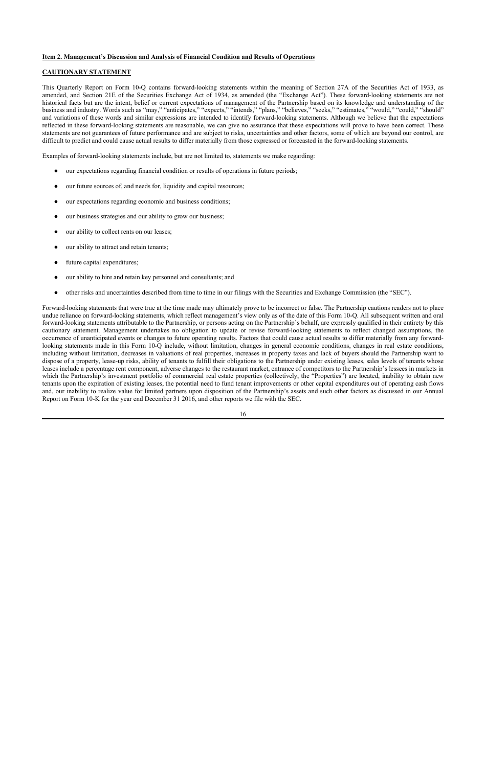#### **Item 2. Management's Discussion and Analysis of Financial Condition and Results of Operations**

#### **CAUTIONARY STATEMENT**

This Quarterly Report on Form 10-Q contains forward-looking statements within the meaning of Section 27A of the Securities Act of 1933, as amended, and Section 21E of the Securities Exchange Act of 1934, as amended (the "Exchange Act"). These forward-looking statements are not historical facts but are the intent, belief or current expectations of management of the Partnership based on its knowledge and understanding of the business and industry. Words such as "may," "anticipates," "expects," "intends," "plans," "believes," "seeks," "estimates," "would," "could," "should" and variations of these words and similar expressions are intended to identify forward-looking statements. Although we believe that the expectations reflected in these forward-looking statements are reasonable, we can give no assurance that these expectations will prove to have been correct. These statements are not guarantees of future performance and are subject to risks, uncertainties and other factors, some of which are beyond our control, are difficult to predict and could cause actual results to differ materially from those expressed or forecasted in the forward-looking statements.

Examples of forward-looking statements include, but are not limited to, statements we make regarding:

- our expectations regarding financial condition or results of operations in future periods;
- our future sources of, and needs for, liquidity and capital resources;
- our expectations regarding economic and business conditions;
- our business strategies and our ability to grow our business;
- our ability to collect rents on our leases;
- our ability to attract and retain tenants;
- future capital expenditures;
- our ability to hire and retain key personnel and consultants; and
- other risks and uncertainties described from time to time in our filings with the Securities and Exchange Commission (the "SEC").

Forward-looking statements that were true at the time made may ultimately prove to be incorrect or false. The Partnership cautions readers not to place undue reliance on forward-looking statements, which reflect management's view only as of the date of this Form 10-Q. All subsequent written and oral forward-looking statements attributable to the Partnership, or persons acting on the Partnership's behalf, are expressly qualified in their entirety by this cautionary statement. Management undertakes no obligation to update or revise forward-looking statements to reflect changed assumptions, the occurrence of unanticipated events or changes to future operating results. Factors that could cause actual results to differ materially from any forwardlooking statements made in this Form 10-Q include, without limitation, changes in general economic conditions, changes in real estate conditions, including without limitation, decreases in valuations of real properties, increases in property taxes and lack of buyers should the Partnership want to dispose of a property, lease-up risks, ability of tenants to fulfill their obligations to the Partnership under existing leases, sales levels of tenants whose leases include a percentage rent component, adverse changes to the restaurant market, entrance of competitors to the Partnership's lessees in markets in which the Partnership's investment portfolio of commercial real estate properties (collectively, the "Properties") are located, inability to obtain new tenants upon the expiration of existing leases, the potential need to fund tenant improvements or other capital expenditures out of operating cash flows and, our inability to realize value for limited partners upon disposition of the Partnership's assets and such other factors as discussed in our Annual Report on Form 10-K for the year end December 31 2016, and other reports we file with the SEC.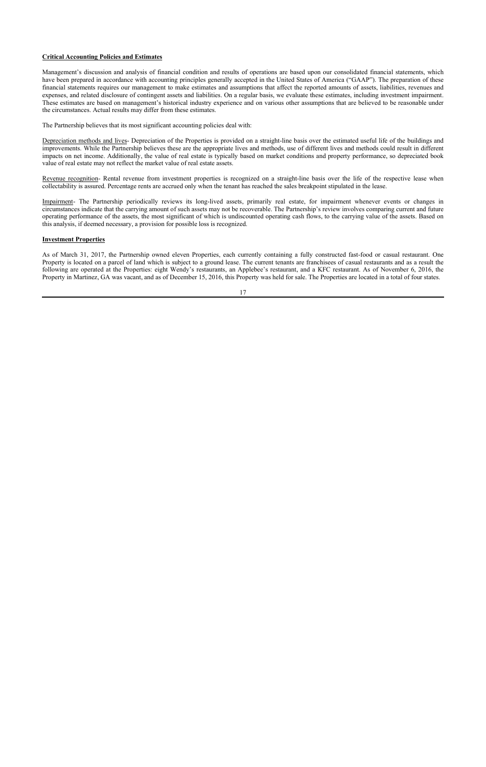#### **Critical Accounting Policies and Estimates**

Management's discussion and analysis of financial condition and results of operations are based upon our consolidated financial statements, which have been prepared in accordance with accounting principles generally accepted in the United States of America ("GAAP"). The preparation of these financial statements requires our management to make estimates and assumptions that affect the reported amounts of assets, liabilities, revenues and expenses, and related disclosure of contingent assets and liabilities. On a regular basis, we evaluate these estimates, including investment impairment. These estimates are based on management's historical industry experience and on various other assumptions that are believed to be reasonable under the circumstances. Actual results may differ from these estimates.

The Partnership believes that its most significant accounting policies deal with:

Depreciation methods and lives- Depreciation of the Properties is provided on a straight-line basis over the estimated useful life of the buildings and improvements. While the Partnership believes these are the appropriate lives and methods, use of different lives and methods could result in different impacts on net income. Additionally, the value of real estate is typically based on market conditions and property performance, so depreciated book value of real estate may not reflect the market value of real estate assets.

Revenue recognition- Rental revenue from investment properties is recognized on a straight-line basis over the life of the respective lease when collectability is assured. Percentage rents are accrued only when the tenant has reached the sales breakpoint stipulated in the lease.

Impairment- The Partnership periodically reviews its long-lived assets, primarily real estate, for impairment whenever events or changes in circumstances indicate that the carrying amount of such assets may not be recoverable. The Partnership's review involves comparing current and future operating performance of the assets, the most significant of which is undiscounted operating cash flows, to the carrying value of the assets. Based on this analysis, if deemed necessary, a provision for possible loss is recognized.

#### **Investment Properties**

As of March 31, 2017, the Partnership owned eleven Properties, each currently containing a fully constructed fast-food or casual restaurant. One Property is located on a parcel of land which is subject to a ground lease. The current tenants are franchisees of casual restaurants and as a result the following are operated at the Properties: eight Wendy's restaurants, an Applebee's restaurant, and a KFC restaurant. As of November 6, 2016, the Property in Martinez, GA was vacant, and as of December 15, 2016, this Property was held for sale. The Properties are located in a total of four states.

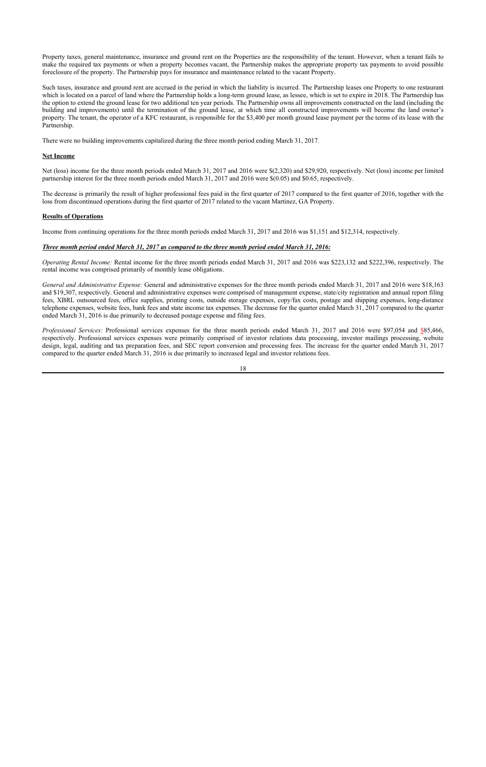Property taxes, general maintenance, insurance and ground rent on the Properties are the responsibility of the tenant. However, when a tenant fails to make the required tax payments or when a property becomes vacant, the Partnership makes the appropriate property tax payments to avoid possible foreclosure of the property. The Partnership pays for insurance and maintenance related to the vacant Property.

Such taxes, insurance and ground rent are accrued in the period in which the liability is incurred. The Partnership leases one Property to one restaurant which is located on a parcel of land where the Partnership holds a long-term ground lease, as lessee, which is set to expire in 2018. The Partnership has the option to extend the ground lease for two additional ten year periods. The Partnership owns all improvements constructed on the land (including the building and improvements) until the termination of the ground lease, at which time all constructed improvements will become the land owner's property. The tenant, the operator of a KFC restaurant, is responsible for the \$3,400 per month ground lease payment per the terms of its lease with the Partnership.

There were no building improvements capitalized during the three month period ending March 31, 2017.

#### **Net Income**

Net (loss) income for the three month periods ended March 31, 2017 and 2016 were \$(2,320) and \$29,920, respectively. Net (loss) income per limited partnership interest for the three month periods ended March 31, 2017 and 2016 were \$(0.05) and \$0.65, respectively.

The decrease is primarily the result of higher professional fees paid in the first quarter of 2017 compared to the first quarter of 2016, together with the loss from discontinued operations during the first quarter of 2017 related to the vacant Martinez, GA Property.

#### **Results of Operations**

Income from continuing operations for the three month periods ended March 31, 2017 and 2016 was \$1,151 and \$12,314, respectively.

#### *Three month period ended March 31, 2017 as compared to the three month period ended March 31, 2016:*

*Operating Rental Income:* Rental income for the three month periods ended March 31, 2017 and 2016 was \$223,132 and \$222,396, respectively. The rental income was comprised primarily of monthly lease obligations.

*General and Administrative Expense:* General and administrative expenses for the three month periods ended March 31, 2017 and 2016 were \$18,163 and \$19,307, respectively. General and administrative expenses were comprised of management expense, state/city registration and annual report filing fees, XBRL outsourced fees, office supplies, printing costs, outside storage expenses, copy/fax costs, postage and shipping expenses, long-distance telephone expenses, website fees, bank fees and state income tax expenses. The decrease for the quarter ended March 31, 2017 compared to the quarter ended March 31, 2016 is due primarily to decreased postage expense and filing fees.

*Professional Services:* Professional services expenses for the three month periods ended March 31, 2017 and 2016 were \$97,054 and \$85,466, respectively. Professional services expenses were primarily comprised of investor relations data processing, investor mailings processing, website design, legal, auditing and tax preparation fees, and SEC report conversion and processing fees. The increase for the quarter ended March 31, 2017 compared to the quarter ended March 31, 2016 is due primarily to increased legal and investor relations fees.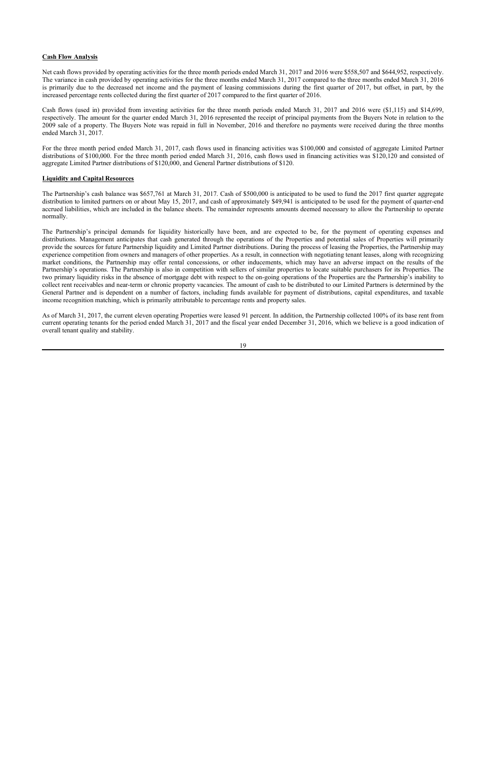#### **Cash Flow Analysis**

Net cash flows provided by operating activities for the three month periods ended March 31, 2017 and 2016 were \$558,507 and \$644,952, respectively. The variance in cash provided by operating activities for the three months ended March 31, 2017 compared to the three months ended March 31, 2016 is primarily due to the decreased net income and the payment of leasing commissions during the first quarter of 2017, but offset, in part, by the increased percentage rents collected during the first quarter of 2017 compared to the first quarter of 2016.

Cash flows (used in) provided from investing activities for the three month periods ended March 31, 2017 and 2016 were (\$1,115) and \$14,699, respectively. The amount for the quarter ended March 31, 2016 represented the receipt of principal payments from the Buyers Note in relation to the 2009 sale of a property. The Buyers Note was repaid in full in November, 2016 and therefore no payments were received during the three months ended March 31, 2017.

For the three month period ended March 31, 2017, cash flows used in financing activities was \$100,000 and consisted of aggregate Limited Partner distributions of \$100,000. For the three month period ended March 31, 2016, cash flows used in financing activities was \$120,120 and consisted of aggregate Limited Partner distributions of \$120,000, and General Partner distributions of \$120.

#### **Liquidity and Capital Resources**

The Partnership's cash balance was \$657,761 at March 31, 2017. Cash of \$500,000 is anticipated to be used to fund the 2017 first quarter aggregate distribution to limited partners on or about May 15, 2017, and cash of approximately \$49,941 is anticipated to be used for the payment of quarter-end accrued liabilities, which are included in the balance sheets. The remainder represents amounts deemed necessary to allow the Partnership to operate normally.

The Partnership's principal demands for liquidity historically have been, and are expected to be, for the payment of operating expenses and distributions. Management anticipates that cash generated through the operations of the Properties and potential sales of Properties will primarily provide the sources for future Partnership liquidity and Limited Partner distributions. During the process of leasing the Properties, the Partnership may experience competition from owners and managers of other properties. As a result, in connection with negotiating tenant leases, along with recognizing market conditions, the Partnership may offer rental concessions, or other inducements, which may have an adverse impact on the results of the Partnership's operations. The Partnership is also in competition with sellers of similar properties to locate suitable purchasers for its Properties. The two primary liquidity risks in the absence of mortgage debt with respect to the on-going operations of the Properties are the Partnership's inability to collect rent receivables and near-term or chronic property vacancies. The amount of cash to be distributed to our Limited Partners is determined by the General Partner and is dependent on a number of factors, including funds available for payment of distributions, capital expenditures, and taxable income recognition matching, which is primarily attributable to percentage rents and property sales.

As of March 31, 2017, the current eleven operating Properties were leased 91 percent. In addition, the Partnership collected 100% of its base rent from current operating tenants for the period ended March 31, 2017 and the fiscal year ended December 31, 2016, which we believe is a good indication of overall tenant quality and stability.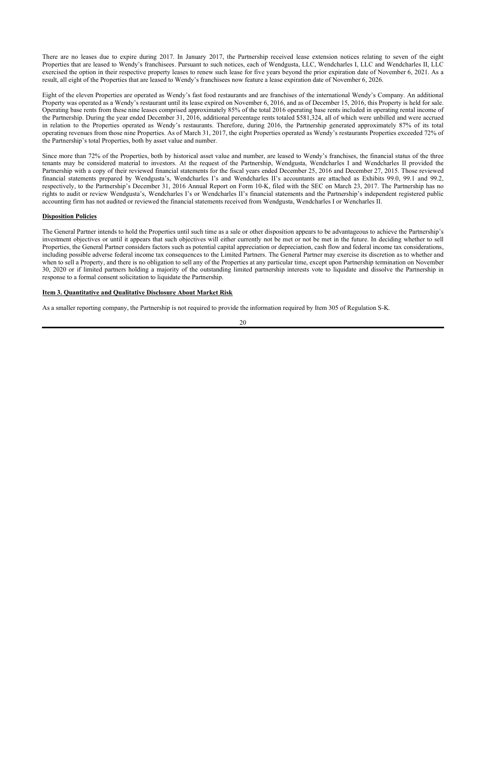There are no leases due to expire during 2017. In January 2017, the Partnership received lease extension notices relating to seven of the eight Properties that are leased to Wendy's franchisees. Pursuant to such notices, each of Wendgusta, LLC, Wendcharles I, LLC and Wendcharles II, LLC exercised the option in their respective property leases to renew such lease for five years beyond the prior expiration date of November 6, 2021. As a result, all eight of the Properties that are leased to Wendy's franchisees now feature a lease expiration date of November 6, 2026.

Eight of the eleven Properties are operated as Wendy's fast food restaurants and are franchises of the international Wendy's Company. An additional Property was operated as a Wendy's restaurant until its lease expired on November 6, 2016, and as of December 15, 2016, this Property is held for sale. Operating base rents from these nine leases comprised approximately 85% of the total 2016 operating base rents included in operating rental income of the Partnership. During the year ended December 31, 2016, additional percentage rents totaled \$581,324, all of which were unbilled and were accrued in relation to the Properties operated as Wendy's restaurants. Therefore, during 2016, the Partnership generated approximately 87% of its total operating revenues from those nine Properties. As of March 31, 2017, the eight Properties operated as Wendy's restaurants Properties exceeded 72% of the Partnership's total Properties, both by asset value and number.

Since more than 72% of the Properties, both by historical asset value and number, are leased to Wendy's franchises, the financial status of the three tenants may be considered material to investors. At the request of the Partnership, Wendgusta, Wendcharles I and Wendcharles II provided the Partnership with a copy of their reviewed financial statements for the fiscal years ended December 25, 2016 and December 27, 2015. Those reviewed financial statements prepared by Wendgusta's, Wendcharles I's and Wendcharles II's accountants are attached as Exhibits 99.0, 99.1 and 99.2, respectively, to the Partnership's December 31, 2016 Annual Report on Form 10-K, filed with the SEC on March 23, 2017. The Partnership has no rights to audit or review Wendgusta's, Wendcharles I's or Wendcharles II's financial statements and the Partnership's independent registered public accounting firm has not audited or reviewed the financial statements received from Wendgusta, Wendcharles I or Wencharles II.

#### **Disposition Policies**

The General Partner intends to hold the Properties until such time as a sale or other disposition appears to be advantageous to achieve the Partnership's investment objectives or until it appears that such objectives will either currently not be met or not be met in the future. In deciding whether to sell Properties, the General Partner considers factors such as potential capital appreciation or depreciation, cash flow and federal income tax considerations, including possible adverse federal income tax consequences to the Limited Partners. The General Partner may exercise its discretion as to whether and when to sell a Property, and there is no obligation to sell any of the Properties at any particular time, except upon Partnership termination on November 30, 2020 or if limited partners holding a majority of the outstanding limited partnership interests vote to liquidate and dissolve the Partnership in response to a formal consent solicitation to liquidate the Partnership.

#### **Item 3. Quantitative and Qualitative Disclosure About Market Risk**

As a smaller reporting company, the Partnership is not required to provide the information required by Item 305 of Regulation S-K.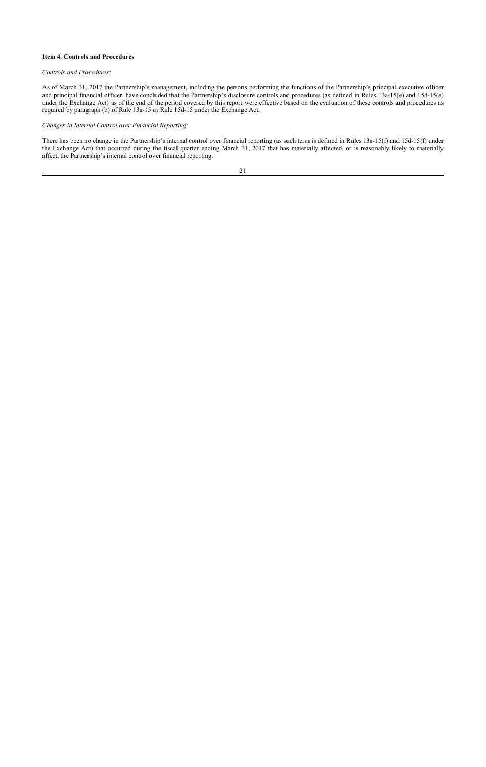# **Item 4. Controls and Procedures**

#### *Controls and Procedures*:

As of March 31, 2017 the Partnership's management, including the persons performing the functions of the Partnership's principal executive officer and principal financial officer, have concluded that the Partnership's disclosure controls and procedures (as defined in Rules 13a-15(e) and 15d-15(e) under the Exchange Act) as of the end of the period covered by this report were effective based on the evaluation of these controls and procedures as required by paragraph (b) of Rule 13a-15 or Rule 15d-15 under the Exchange Act.

#### *Changes in Internal Control over Financial Reporting*:

There has been no change in the Partnership's internal control over financial reporting (as such term is defined in Rules 13a-15(f) and 15d-15(f) under the Exchange Act) that occurred during the fiscal quarter ending March 31, 2017 that has materially affected, or is reasonably likely to materially affect, the Partnership's internal control over financial reporting.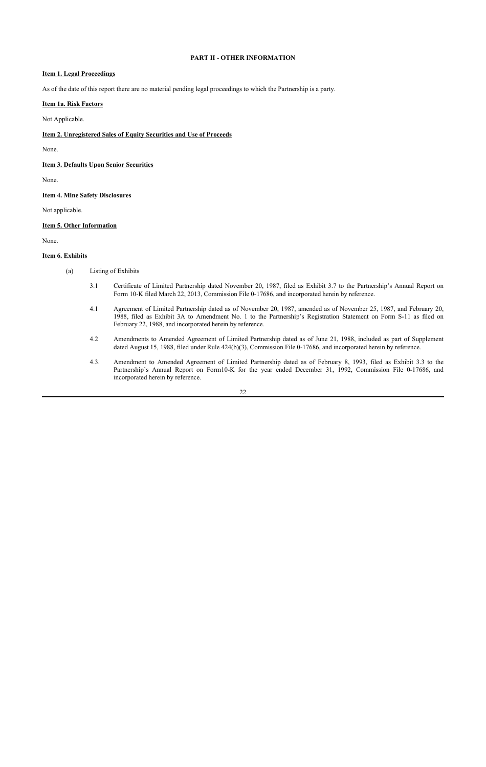#### **PART II - OTHER INFORMATION**

# **Item 1. Legal Proceedings**

As of the date of this report there are no material pending legal proceedings to which the Partnership is a party.

#### **Item 1a. Risk Factors**

Not Applicable.

# **Item 2. Unregistered Sales of Equity Securities and Use of Proceeds**

None.

**Item 3. Defaults Upon Senior Securities**

None.

**Item 4. Mine Safety Disclosures**

Not applicable.

### **Item 5. Other Information**

None.

### **Item 6. Exhibits**

- (a) Listing of Exhibits
	- 3.1 Certificate of Limited Partnership dated November 20, 1987, filed as Exhibit 3.7 to the Partnership's Annual Report on Form 10-K filed March 22, 2013, Commission File 0-17686, and incorporated herein by reference.
	- 4.1 Agreement of Limited Partnership dated as of November 20, 1987, amended as of November 25, 1987, and February 20, 1988, filed as Exhibit 3A to Amendment No. 1 to the Partnership's Registration Statement on Form S-11 as filed on February 22, 1988, and incorporated herein by reference.
	- 4.2 Amendments to Amended Agreement of Limited Partnership dated as of June 21, 1988, included as part of Supplement dated August 15, 1988, filed under Rule 424(b)(3), Commission File 0-17686, and incorporated herein by reference.
	- 4.3. Amendment to Amended Agreement of Limited Partnership dated as of February 8, 1993, filed as Exhibit 3.3 to the Partnership's Annual Report on Form10-K for the year ended December 31, 1992, Commission File 0-17686, and incorporated herein by reference.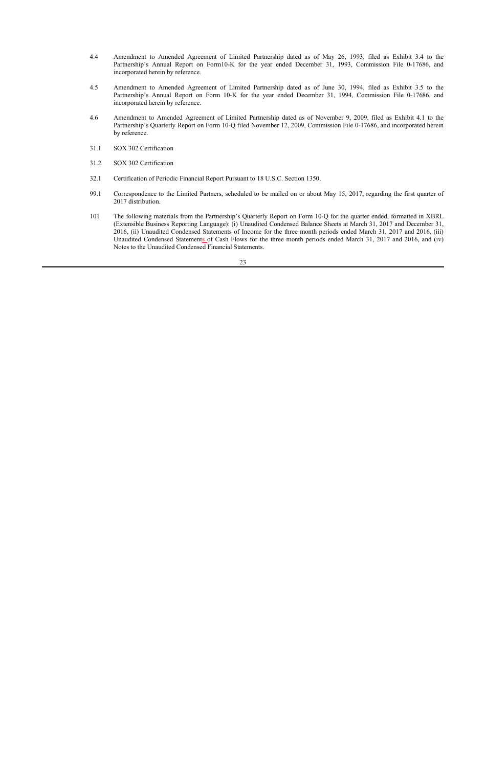- 4.4 Amendment to Amended Agreement of Limited Partnership dated as of May 26, 1993, filed as Exhibit 3.4 to the Partnership's Annual Report on Form10-K for the year ended December 31, 1993, Commission File 0-17686, and incorporated herein by reference.
- 4.5 Amendment to Amended Agreement of Limited Partnership dated as of June 30, 1994, filed as Exhibit 3.5 to the Partnership's Annual Report on Form 10-K for the year ended December 31, 1994, Commission File 0-17686, and incorporated herein by reference.
- 4.6 Amendment to Amended Agreement of Limited Partnership dated as of November 9, 2009, filed as Exhibit 4.1 to the Partnership's Quarterly Report on Form 10-Q filed November 12, 2009, Commission File 0-17686, and incorporated herein by reference.
- 31.1 SOX 302 Certification
- 31.2 SOX 302 Certification
- 32.1 Certification of Periodic Financial Report Pursuant to 18 U.S.C. Section 1350.
- 99.1 Correspondence to the Limited Partners, scheduled to be mailed on or about May 15, 2017, regarding the first quarter of 2017 distribution.
- 101 The following materials from the Partnership's Quarterly Report on Form 10-Q for the quarter ended, formatted in XBRL (Extensible Business Reporting Language): (i) Unaudited Condensed Balance Sheets at March 31, 2017 and December 31, 2016, (ii) Unaudited Condensed Statements of Income for the three month periods ended March 31, 2017 and 2016, (iii) Unaudited Condensed Statements of Cash Flows for the three month periods ended March 31, 2017 and 2016, and (iv) Notes to the Unaudited Condensed Financial Statements.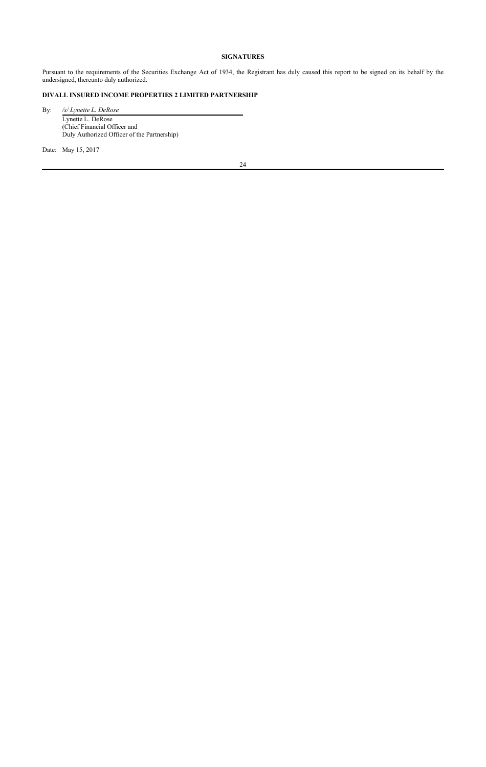# **SIGNATURES**

Pursuant to the requirements of the Securities Exchange Act of 1934, the Registrant has duly caused this report to be signed on its behalf by the undersigned, thereunto duly authorized.

# **DIVALL INSURED INCOME PROPERTIES 2 LIMITED PARTNERSHIP**

By: */s/ Lynette L. DeRose* Lynette L. DeRose (Chief Financial Officer and Duly Authorized Officer of the Partnership)

Date: May 15, 2017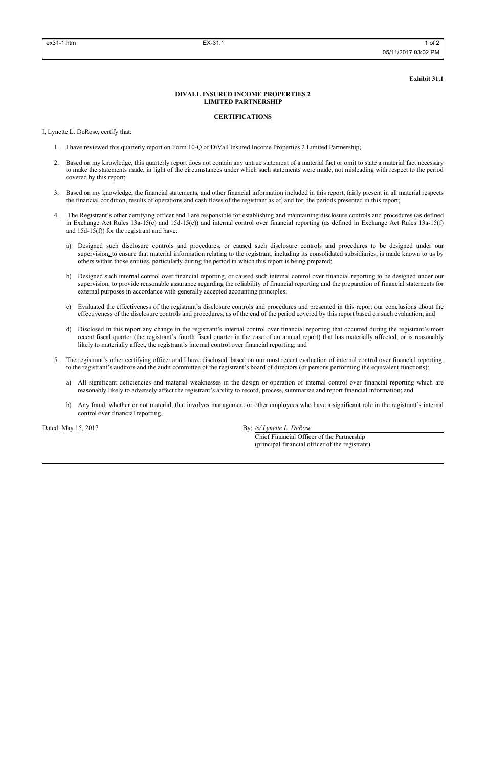**Exhibit 31.1**

#### **DIVALL INSURED INCOME PROPERTIES 2 LIMITED PARTNERSHIP**

#### **CERTIFICATIONS**

I, Lynette L. DeRose, certify that:

- 1. I have reviewed this quarterly report on Form 10-Q of DiVall Insured Income Properties 2 Limited Partnership;
- 2. Based on my knowledge, this quarterly report does not contain any untrue statement of a material fact or omit to state a material fact necessary to make the statements made, in light of the circumstances under which such statements were made, not misleading with respect to the period covered by this report;
- 3. Based on my knowledge, the financial statements, and other financial information included in this report, fairly present in all material respects the financial condition, results of operations and cash flows of the registrant as of, and for, the periods presented in this report;
- 4. The Registrant's other certifying officer and I are responsible for establishing and maintaining disclosure controls and procedures (as defined in Exchange Act Rules 13a-15(e) and 15d-15(e)) and internal control over financial reporting (as defined in Exchange Act Rules 13a-15(f) and 15d-15(f)) for the registrant and have:
	- a) Designed such disclosure controls and procedures, or caused such disclosure controls and procedures to be designed under our supervision, to ensure that material information relating to the registrant, including its consolidated subsidiaries, is made known to us by others within those entities, particularly during the period in which this report is being prepared;
	- b) Designed such internal control over financial reporting, or caused such internal control over financial reporting to be designed under our supervision, to provide reasonable assurance regarding the reliability of financial reporting and the preparation of financial statements for external purposes in accordance with generally accepted accounting principles;
	- c) Evaluated the effectiveness of the registrant's disclosure controls and procedures and presented in this report our conclusions about the effectiveness of the disclosure controls and procedures, as of the end of the period covered by this report based on such evaluation; and
	- d) Disclosed in this report any change in the registrant's internal control over financial reporting that occurred during the registrant's most recent fiscal quarter (the registrant's fourth fiscal quarter in the case of an annual report) that has materially affected, or is reasonably likely to materially affect, the registrant's internal control over financial reporting; and
- 5. The registrant's other certifying officer and I have disclosed, based on our most recent evaluation of internal control over financial reporting, to the registrant's auditors and the audit committee of the registrant's board of directors (or persons performing the equivalent functions):
	- a) All significant deficiencies and material weaknesses in the design or operation of internal control over financial reporting which are reasonably likely to adversely affect the registrant's ability to record, process, summarize and report financial information; and
	- b) Any fraud, whether or not material, that involves management or other employees who have a significant role in the registrant's internal control over financial reporting.

Dated: May 15, 2017 By: */s/ Lynette L. DeRose*

Chief Financial Officer of the Partnership (principal financial officer of the registrant)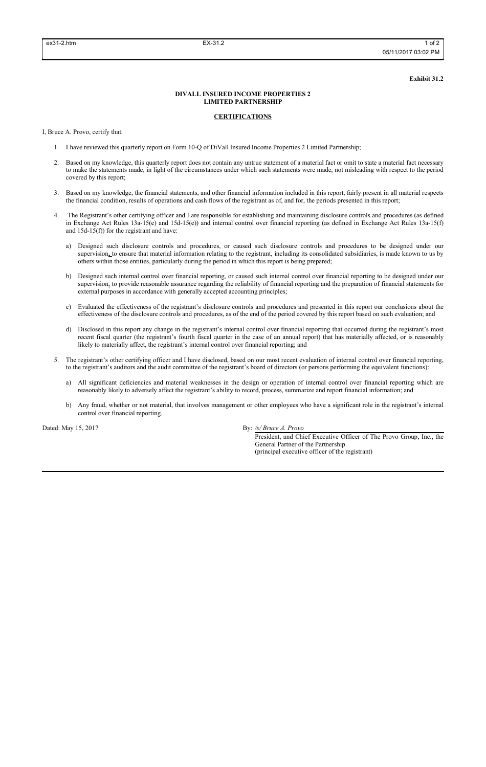**Exhibit 31.2**

#### **DIVALL INSURED INCOME PROPERTIES 2 LIMITED PARTNERSHIP**

#### **CERTIFICATIONS**

I, Bruce A. Provo, certify that:

- 1. I have reviewed this quarterly report on Form 10-Q of DiVall Insured Income Properties 2 Limited Partnership;
- 2. Based on my knowledge, this quarterly report does not contain any untrue statement of a material fact or omit to state a material fact necessary to make the statements made, in light of the circumstances under which such statements were made, not misleading with respect to the period covered by this report;
- 3. Based on my knowledge, the financial statements, and other financial information included in this report, fairly present in all material respects the financial condition, results of operations and cash flows of the registrant as of, and for, the periods presented in this report;
- 4. The Registrant's other certifying officer and I are responsible for establishing and maintaining disclosure controls and procedures (as defined in Exchange Act Rules 13a-15(e) and 15d-15(e)) and internal control over financial reporting (as defined in Exchange Act Rules 13a-15(f) and 15d-15(f)) for the registrant and have:
	- a) Designed such disclosure controls and procedures, or caused such disclosure controls and procedures to be designed under our supervision, to ensure that material information relating to the registrant, including its consolidated subsidiaries, is made known to us by others within those entities, particularly during the period in which this report is being prepared;
	- b) Designed such internal control over financial reporting, or caused such internal control over financial reporting to be designed under our supervision, to provide reasonable assurance regarding the reliability of financial reporting and the preparation of financial statements for external purposes in accordance with generally accepted accounting principles;
	- c) Evaluated the effectiveness of the registrant's disclosure controls and procedures and presented in this report our conclusions about the effectiveness of the disclosure controls and procedures, as of the end of the period covered by this report based on such evaluation; and
	- d) Disclosed in this report any change in the registrant's internal control over financial reporting that occurred during the registrant's most recent fiscal quarter (the registrant's fourth fiscal quarter in the case of an annual report) that has materially affected, or is reasonably likely to materially affect, the registrant's internal control over financial reporting; and
- 5. The registrant's other certifying officer and I have disclosed, based on our most recent evaluation of internal control over financial reporting, to the registrant's auditors and the audit committee of the registrant's board of directors (or persons performing the equivalent functions):
	- a) All significant deficiencies and material weaknesses in the design or operation of internal control over financial reporting which are reasonably likely to adversely affect the registrant's ability to record, process, summarize and report financial information; and
	- b) Any fraud, whether or not material, that involves management or other employees who have a significant role in the registrant's internal control over financial reporting.

Dated: May 15, 2017 By: */s/ Bruce A. Provo*

President, and Chief Executive Officer of The Provo Group, Inc., the General Partner of the Partnership (principal executive officer of the registrant)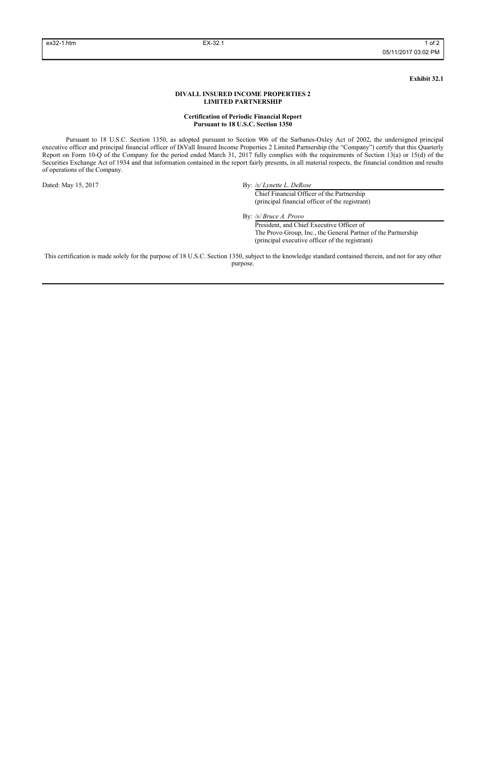**Exhibit 32.1**

#### **DIVALL INSURED INCOME PROPERTIES 2 LIMITED PARTNERSHIP**

**Certification of Periodic Financial Report Pursuant to 18 U.S.C. Section 1350**

Pursuant to 18 U.S.C. Section 1350, as adopted pursuant to Section 906 of the Sarbanes-Oxley Act of 2002, the undersigned principal executive officer and principal financial officer of DiVall Insured Income Properties 2 Limited Partnership (the "Company") certify that this Quarterly Report on Form 10-Q of the Company for the period ended March 31, 2017 fully complies with the requirements of Section 13(a) or 15(d) of the Securities Exchange Act of 1934 and that information contained in the report fairly presents, in all material respects, the financial condition and results of operations of the Company.

Dated: May 15, 2017 By: */s/ Lynette L. DeRose*

Chief Financial Officer of the Partnership (principal financial officer of the registrant)

By: */s/ Bruce A. Provo*

President, and Chief Executive Officer of The Provo Group, Inc., the General Partner of the Partnership (principal executive officer of the registrant)

This certification is made solely for the purpose of 18 U.S.C. Section 1350, subject to the knowledge standard contained therein, and not for any other purpose.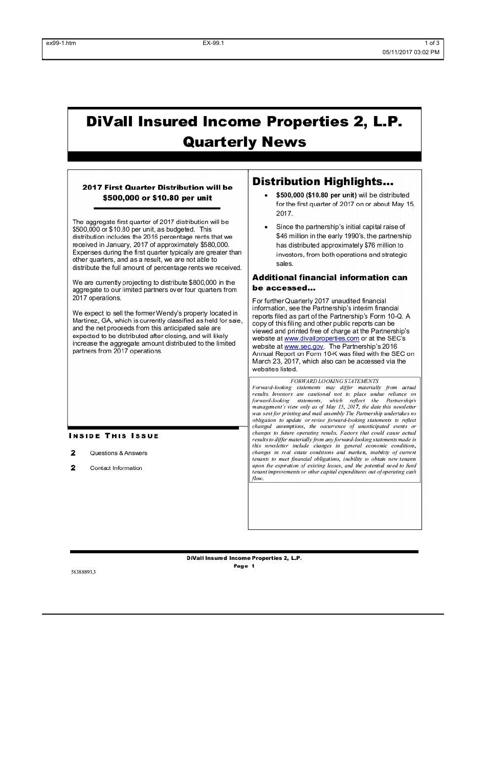# **DiVall Insured Income Properties 2, L.P. Quarterly News**

| 2017 First Quarter Distribution will be<br>\$500,000 or \$10.80 per unit<br>The aggregate first quarter of 2017 distribution will be<br>\$500,000 or \$10.80 per unit, as budgeted. This<br>distribution includes the 2016 percentage rents that we<br>received in January, 2017 of approximately \$580,000.<br>Expenses during the first quarter typically are greater than<br>other quarters, and as a result, we are not able to<br>distribute the full amount of percentage rents we received.<br>We are currently projecting to distribute \$800,000 in the<br>aggregate to our limited partners over four quarters from<br>2017 operations.<br>We expect to sell the former Wendy's property located in<br>Martinez, GA, which is currently classified as held for sale,<br>and the net proceeds from this anticipated sale are<br>expected to be distributed after closing, and will likely<br>increase the aggregate amount distributed to the limited<br>partners from 2017 operations. | <b>Distribution Highlights</b><br>\$500,000 (\$10.80 per unit) will be distributed<br>for the first quarter of 2017 on or about May 15,<br>2017.<br>Since the partnership's initial capital raise of<br>\$46 million in the early 1990's, the partnership<br>has distributed approximately \$76 million to<br>investors, from both operations and strategic<br>sales.<br><b>Additional financial information can</b><br>be accessed<br>For further Quarterly 2017 unaudited financial<br>information, see the Partnership's interim financial<br>reports filed as part of the Partnership's Form 10-Q. A<br>copy of this filing and other public reports can be<br>viewed and printed free of charge at the Partnership's<br>website at www.divallproperties.com or at the SEC's<br>website at www.sec.gov. The Partnership's 2016<br>Annual Report on Form 10-K was filed with the SEC on<br>March 23, 2017, which also can be accessed via the<br>websites listed.                                                                                                |
|--------------------------------------------------------------------------------------------------------------------------------------------------------------------------------------------------------------------------------------------------------------------------------------------------------------------------------------------------------------------------------------------------------------------------------------------------------------------------------------------------------------------------------------------------------------------------------------------------------------------------------------------------------------------------------------------------------------------------------------------------------------------------------------------------------------------------------------------------------------------------------------------------------------------------------------------------------------------------------------------------|---------------------------------------------------------------------------------------------------------------------------------------------------------------------------------------------------------------------------------------------------------------------------------------------------------------------------------------------------------------------------------------------------------------------------------------------------------------------------------------------------------------------------------------------------------------------------------------------------------------------------------------------------------------------------------------------------------------------------------------------------------------------------------------------------------------------------------------------------------------------------------------------------------------------------------------------------------------------------------------------------------------------------------------------------------------------|
| <b>INSIDE THIS ISSUE</b><br>2<br>Questions & Answers<br>2<br>Contact Information                                                                                                                                                                                                                                                                                                                                                                                                                                                                                                                                                                                                                                                                                                                                                                                                                                                                                                                 | <b>FORWARD LOOKING STATEMENTS</b><br>Forward-looking statements may differ materially from actual<br>results. Investors are cautioned not to place undue reliance on<br>forward-looking statements, which reflect the Partnership's<br>management's view only as of May 15, 2017, the date this newsletter<br>was sent for printing and mail assembly The Partnership undertakes no<br>obligation to update or revise forward-looking statements to reflect<br>changed assumptions, the occurrence of unanticipated events or<br>changes to future operating results. Factors that could cause actual<br>results to differ materially from any forward-looking statements made in<br>this newsletter include changes in general economic conditions,<br>changes in real estate conditions and markets, inability of current<br>tenants to meet financial obligations, inability to obtain new tenants<br>upon the expiration of existing leases, and the potential need to fund<br>tenant improvements or other capital expenditures out of operating cash<br>flow. |

DiVall Insured Income Properties 2, L.P. Page 1

58388893.3